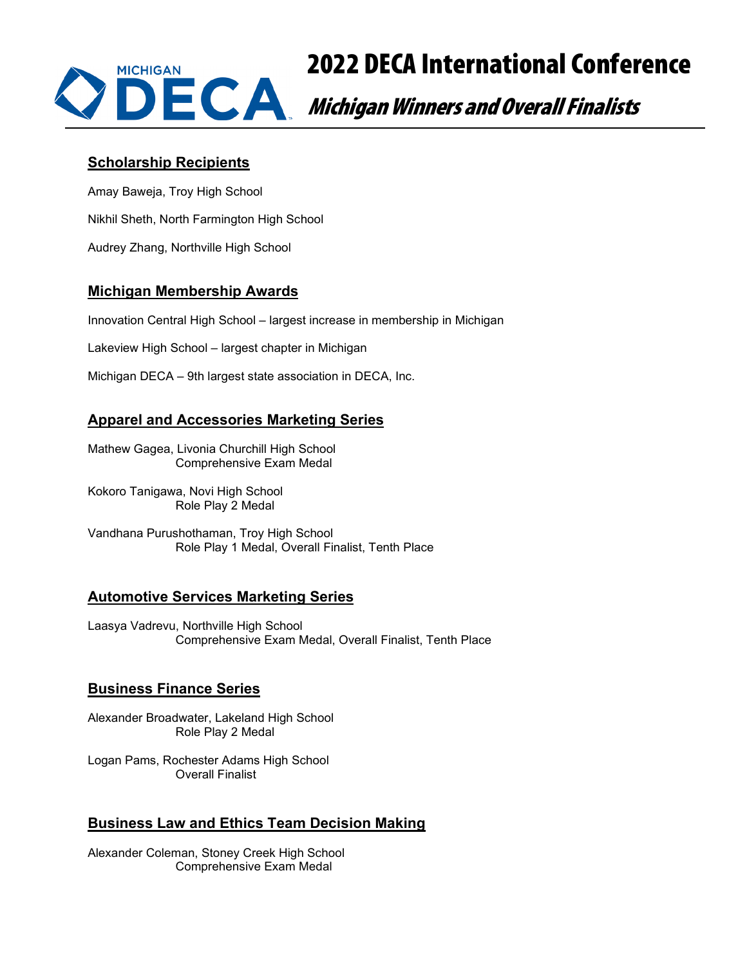

# 2022 DECA International Conference

## **Scholarship Recipients**

Amay Baweja, Troy High School Nikhil Sheth, North Farmington High School Audrey Zhang, Northville High School

## **Michigan Membership Awards**

Innovation Central High School – largest increase in membership in Michigan

Lakeview High School – largest chapter in Michigan

Michigan DECA – 9th largest state association in DECA, Inc.

# **Apparel and Accessories Marketing Series**

Mathew Gagea, Livonia Churchill High School Comprehensive Exam Medal

Kokoro Tanigawa, Novi High School Role Play 2 Medal

Vandhana Purushothaman, Troy High School Role Play 1 Medal, Overall Finalist, Tenth Place

# **Automotive Services Marketing Series**

Laasya Vadrevu, Northville High School Comprehensive Exam Medal, Overall Finalist, Tenth Place

## **Business Finance Series**

Alexander Broadwater, Lakeland High School Role Play 2 Medal

Logan Pams, Rochester Adams High School Overall Finalist

# **Business Law and Ethics Team Decision Making**

Alexander Coleman, Stoney Creek High School Comprehensive Exam Medal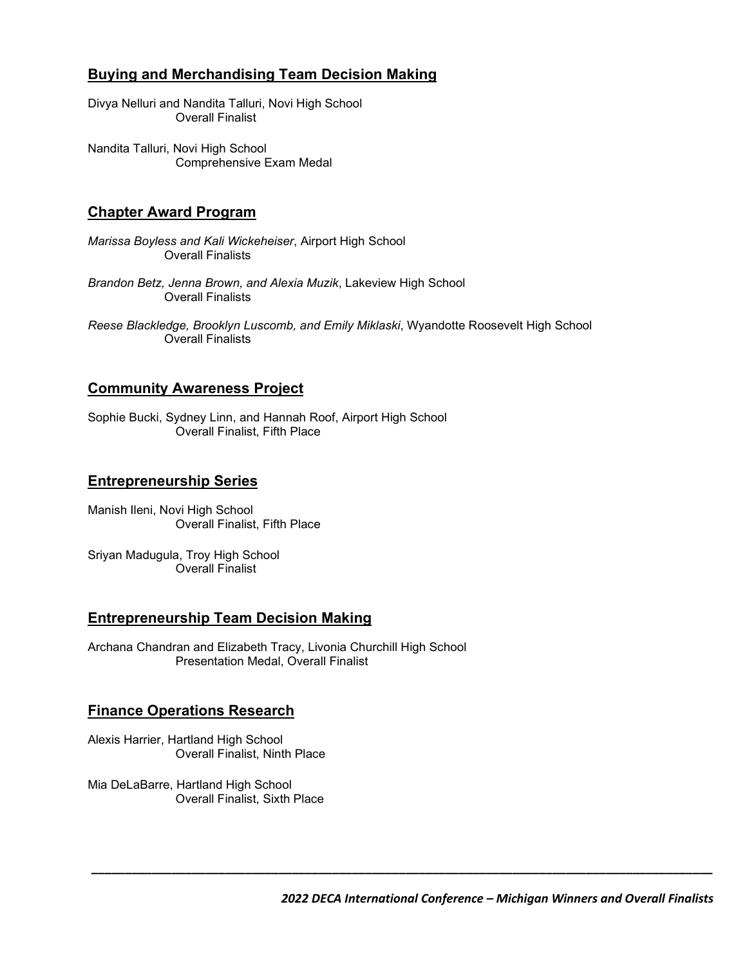## **Buying and Merchandising Team Decision Making**

Divya Nelluri and Nandita Talluri, Novi High School Overall Finalist

Nandita Talluri, Novi High School Comprehensive Exam Medal

## **Chapter Award Program**

*Marissa Boyless and Kali Wickeheiser*, Airport High School Overall Finalists

- *Brandon Betz, Jenna Brown, and Alexia Muzik*, Lakeview High School Overall Finalists
- *Reese Blackledge, Brooklyn Luscomb, and Emily Miklaski*, Wyandotte Roosevelt High School Overall Finalists

## **Community Awareness Project**

Sophie Bucki, Sydney Linn, and Hannah Roof, Airport High School Overall Finalist, Fifth Place

## **Entrepreneurship Series**

Manish Ileni, Novi High School Overall Finalist, Fifth Place

Sriyan Madugula, Troy High School Overall Finalist

## **Entrepreneurship Team Decision Making**

Archana Chandran and Elizabeth Tracy, Livonia Churchill High School Presentation Medal, Overall Finalist

## **Finance Operations Research**

Alexis Harrier, Hartland High School Overall Finalist, Ninth Place

Mia DeLaBarre, Hartland High School Overall Finalist, Sixth Place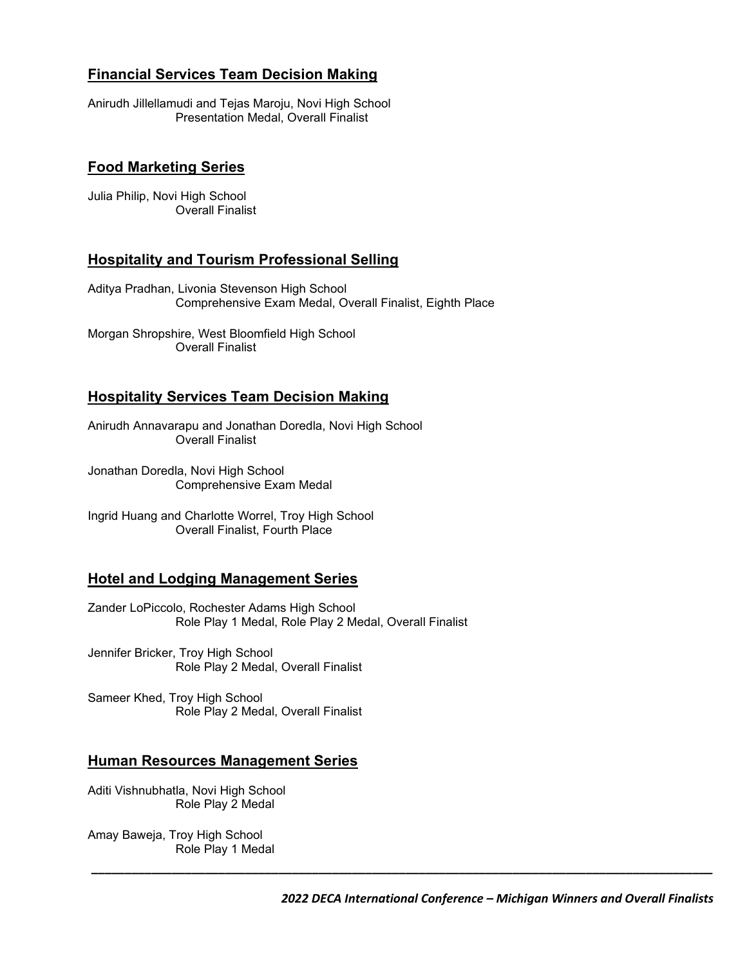## **Financial Services Team Decision Making**

Anirudh Jillellamudi and Tejas Maroju, Novi High School Presentation Medal, Overall Finalist

## **Food Marketing Series**

Julia Philip, Novi High School Overall Finalist

#### **Hospitality and Tourism Professional Selling**

Aditya Pradhan, Livonia Stevenson High School Comprehensive Exam Medal, Overall Finalist, Eighth Place

Morgan Shropshire, West Bloomfield High School Overall Finalist

## **Hospitality Services Team Decision Making**

Anirudh Annavarapu and Jonathan Doredla, Novi High School Overall Finalist

Jonathan Doredla, Novi High School Comprehensive Exam Medal

Ingrid Huang and Charlotte Worrel, Troy High School Overall Finalist, Fourth Place

#### **Hotel and Lodging Management Series**

Zander LoPiccolo, Rochester Adams High School Role Play 1 Medal, Role Play 2 Medal, Overall Finalist

Jennifer Bricker, Troy High School Role Play 2 Medal, Overall Finalist

Sameer Khed, Troy High School Role Play 2 Medal, Overall Finalist

#### **Human Resources Management Series**

Aditi Vishnubhatla, Novi High School Role Play 2 Medal

Amay Baweja, Troy High School Role Play 1 Medal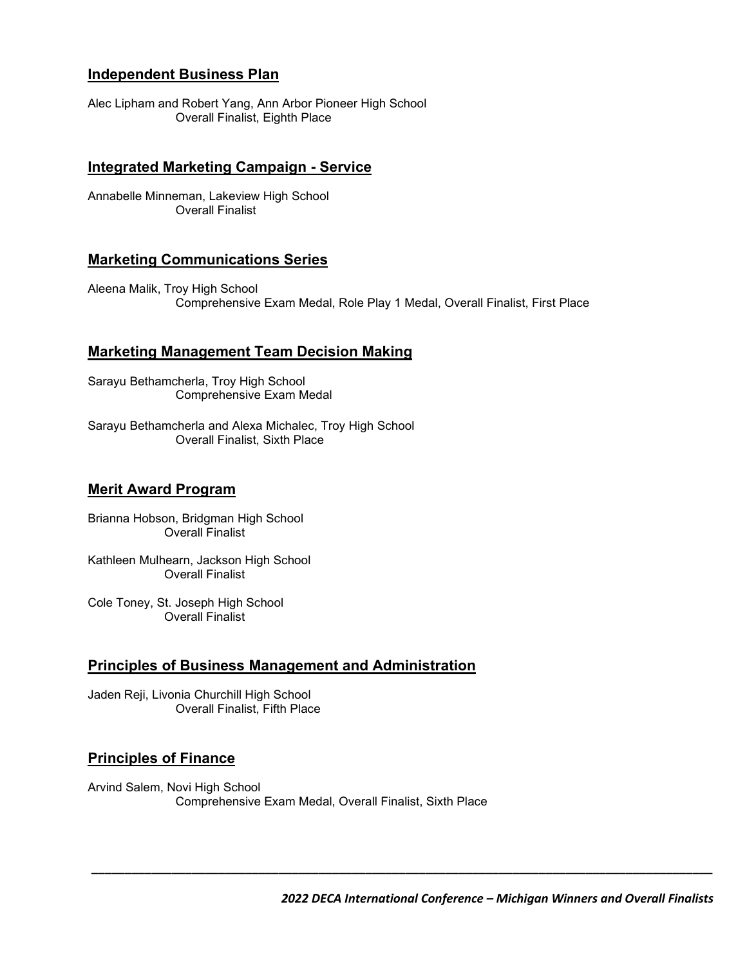## **Independent Business Plan**

Alec Lipham and Robert Yang, Ann Arbor Pioneer High School Overall Finalist, Eighth Place

#### **Integrated Marketing Campaign - Service**

Annabelle Minneman, Lakeview High School Overall Finalist

## **Marketing Communications Series**

Aleena Malik, Troy High School Comprehensive Exam Medal, Role Play 1 Medal, Overall Finalist, First Place

#### **Marketing Management Team Decision Making**

Sarayu Bethamcherla, Troy High School Comprehensive Exam Medal

Sarayu Bethamcherla and Alexa Michalec, Troy High School Overall Finalist, Sixth Place

#### **Merit Award Program**

Brianna Hobson, Bridgman High School Overall Finalist

Kathleen Mulhearn, Jackson High School Overall Finalist

Cole Toney, St. Joseph High School Overall Finalist

#### **Principles of Business Management and Administration**

Jaden Reji, Livonia Churchill High School Overall Finalist, Fifth Place

#### **Principles of Finance**

Arvind Salem, Novi High School Comprehensive Exam Medal, Overall Finalist, Sixth Place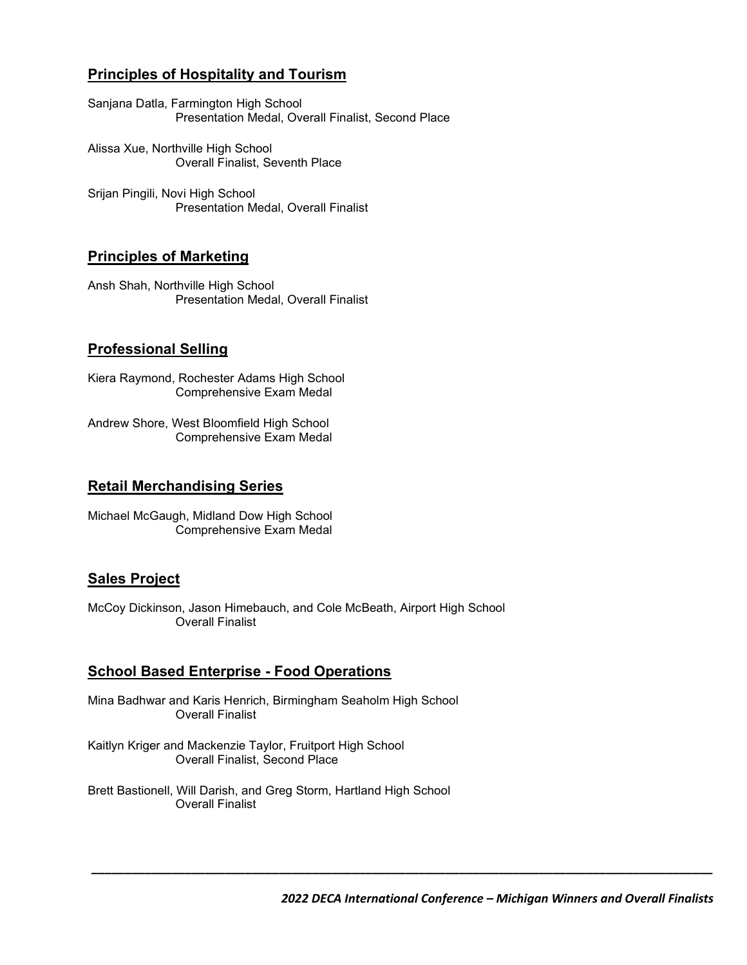# **Principles of Hospitality and Tourism**

Sanjana Datla, Farmington High School Presentation Medal, Overall Finalist, Second Place

Alissa Xue, Northville High School Overall Finalist, Seventh Place

Srijan Pingili, Novi High School Presentation Medal, Overall Finalist

## **Principles of Marketing**

Ansh Shah, Northville High School Presentation Medal, Overall Finalist

## **Professional Selling**

Kiera Raymond, Rochester Adams High School Comprehensive Exam Medal

Andrew Shore, West Bloomfield High School Comprehensive Exam Medal

## **Retail Merchandising Series**

Michael McGaugh, Midland Dow High School Comprehensive Exam Medal

## **Sales Project**

McCoy Dickinson, Jason Himebauch, and Cole McBeath, Airport High School Overall Finalist

## **School Based Enterprise - Food Operations**

Mina Badhwar and Karis Henrich, Birmingham Seaholm High School Overall Finalist

Kaitlyn Kriger and Mackenzie Taylor, Fruitport High School Overall Finalist, Second Place

Brett Bastionell, Will Darish, and Greg Storm, Hartland High School Overall Finalist